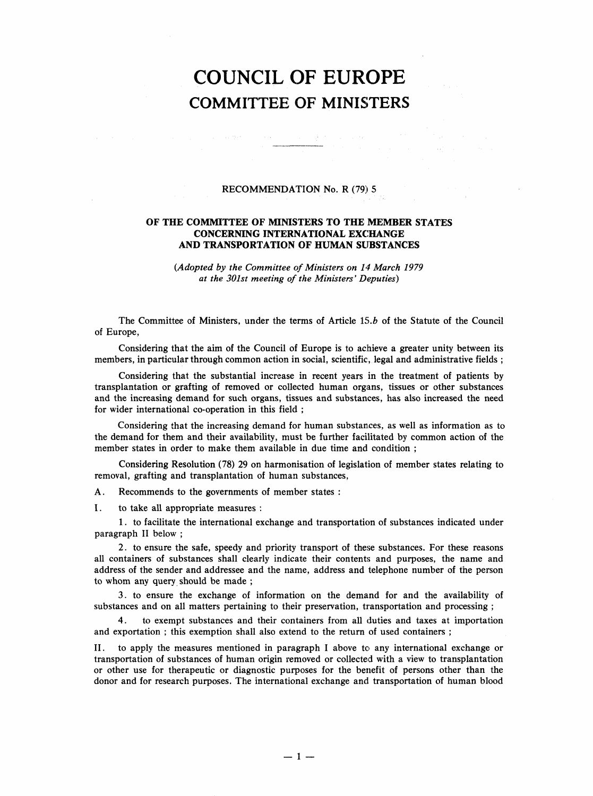## COUNCIL OF EUROPE COMMITTEE OF MINISTERS

## RECOMMENDATION No. R (79) 5

 $\sim 10^{11}$  m  $^{-1}$ 

## OF THE COMMITTEE OF MINISTERS TO THE MEMBER STATES CONCERNING INTERNATIONAL EXCHANGE AND TRANSPORTATION OF HUMAN SUBSTANCES

(Adopted by the Committee of Ministers on 14 March 1979 at the 301st meeting of the Ministers' Deputies)

The Committee of Ministers, under the terms of Article 15.b of the Statute of the Council of Europe,

Considering that the aim of the Council of Europe is to achieve a greater unity between its members, in particular through common action in social, scientific, legal and administrative fields;

Considering that the substantial increase in recent years in the treatment of patients by transplantation or grafting of removed or collected human organs, tissues or other substances and the increasing demand for such organs, tissues and substances, has also increased the need for wider international co-operation in this field;

Considering that the increasing demand for human substances, as well as information as to the demand for them and their availability, must be further facilitated by common action of the member states in order to make them available in due time and condition;

Considering Resolution (78) 29 on harmonisation of legislation of member states relating to removal, grafting and transplantation of human substances,

A. Recommends to the governments of member states:

I. to take all appropriate measures:

1. to facilitate the international exchange and transportation of substances indicated under paragraph II below;

2. to ensure the safe, speedy and priority transport of these substances. For these reasons all containers of substances shall clearly indicate their contents and purposes, the name and address of the sender and addressee and the name, address and telephone number of the person to whom any query should be made;

3. to ensure the exchange of information on the demand for and the availability of substances and on all matters pertaining to their preservation, transportation and processing;

4. to exempt substances and their containers from all duties and taxes at importation and exportation; this exemption shall also extend to the return of used containers;

II. to apply the measures mentioned in paragraph I above to any international exchange or transportation of substances of human origin removed or collected with a view to transplantation or other use for therapeutic or diagnostic purposes for the benefit of persons other than the donor and for research purposes. The international exchange and transportation of human blood